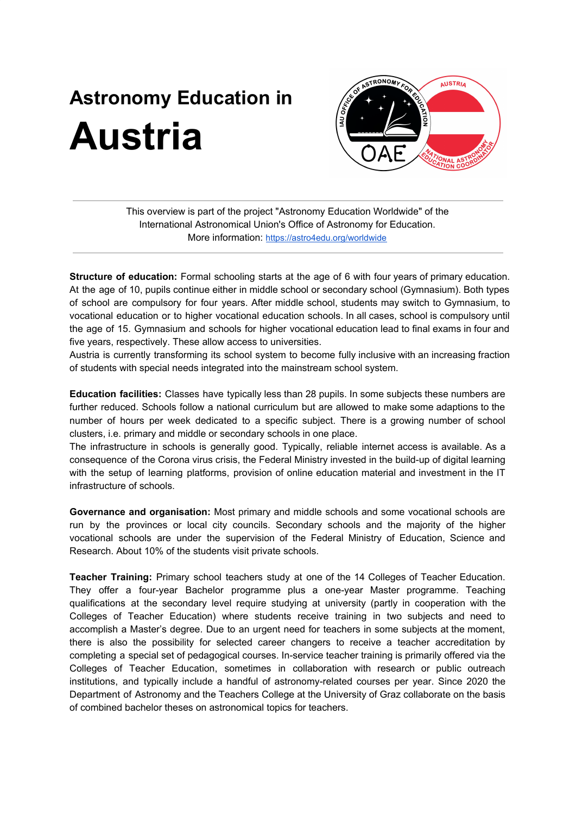## **Astronomy Education in Austria**



This overview is part of the project "Astronomy Education Worldwide" of the International Astronomical Union's Office of Astronomy for Education. More information: <https://astro4edu.org/worldwide>

**Structure of education:** Formal schooling starts at the age of 6 with four years of primary education. At the age of 10, pupils continue either in middle school or secondary school (Gymnasium). Both types of school are compulsory for four years. After middle school, students may switch to Gymnasium, to vocational education or to higher vocational education schools. In all cases, school is compulsory until the age of 15. Gymnasium and schools for higher vocational education lead to final exams in four and five years, respectively. These allow access to universities.

Austria is currently transforming its school system to become fully inclusive with an increasing fraction of students with special needs integrated into the mainstream school system.

**Education facilities:** Classes have typically less than 28 pupils. In some subjects these numbers are further reduced. Schools follow a national curriculum but are allowed to make some adaptions to the number of hours per week dedicated to a specific subject. There is a growing number of school clusters, i.e. primary and middle or secondary schools in one place.

The infrastructure in schools is generally good. Typically, reliable internet access is available. As a consequence of the Corona virus crisis, the Federal Ministry invested in the build-up of digital learning with the setup of learning platforms, provision of online education material and investment in the IT infrastructure of schools.

**Governance and organisation:** Most primary and middle schools and some vocational schools are run by the provinces or local city councils. Secondary schools and the majority of the higher vocational schools are under the supervision of the Federal Ministry of Education, Science and Research. About 10% of the students visit private schools.

**Teacher Training:** Primary school teachers study at one of the 14 Colleges of Teacher Education. They offer a four-year Bachelor programme plus a one-year Master programme. Teaching qualifications at the secondary level require studying at university (partly in cooperation with the Colleges of Teacher Education) where students receive training in two subjects and need to accomplish a Master's degree. Due to an urgent need for teachers in some subjects at the moment, there is also the possibility for selected career changers to receive a teacher accreditation by completing a special set of pedagogical courses. In-service teacher training is primarily offered via the Colleges of Teacher Education, sometimes in collaboration with research or public outreach institutions, and typically include a handful of astronomy-related courses per year. Since 2020 the Department of Astronomy and the Teachers College at the University of Graz collaborate on the basis of combined bachelor theses on astronomical topics for teachers.